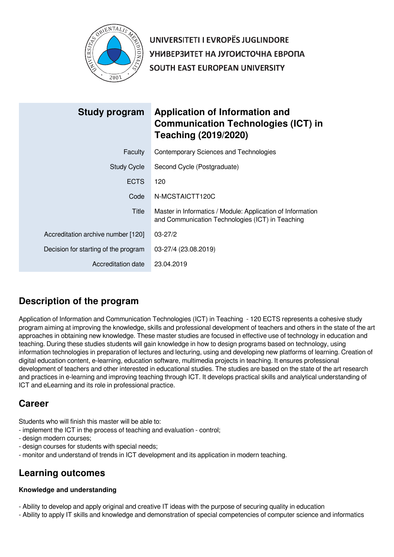

UNIVERSITETI I EVROPËS JUGLINDORE УНИВЕРЗИТЕТ НА ЈУГОИСТОЧНА ЕВРОПА SOUTH EAST EUROPEAN UNIVERSITY

| <b>Study program</b>                 | Application of Information and<br><b>Communication Technologies (ICT) in</b><br><b>Teaching (2019/2020)</b>    |
|--------------------------------------|----------------------------------------------------------------------------------------------------------------|
| Faculty                              | Contemporary Sciences and Technologies                                                                         |
| <b>Study Cycle</b>                   | Second Cycle (Postgraduate)                                                                                    |
| <b>ECTS</b>                          | 120                                                                                                            |
| Code                                 | N-MCSTAICTT120C                                                                                                |
| Title                                | Master in Informatics / Module: Application of Information<br>and Communication Technologies (ICT) in Teaching |
| Accreditation archive number [120]   | $03 - 27/2$                                                                                                    |
| Decision for starting of the program | 03-27/4 (23.08.2019)                                                                                           |
| Accreditation date                   | 23.04.2019                                                                                                     |

# **Description of the program**

Application of Information and Communication Technologies (ICT) in Teaching - 120 ECTS represents a cohesive study program aiming at improving the knowledge, skills and professional development of teachers and others in the state of the art approaches in obtaining new knowledge. These master studies are focused in effective use of technology in education and teaching. During these studies students will gain knowledge in how to design programs based on technology, using information technologies in preparation of lectures and lecturing, using and developing new platforms of learning. Creation of digital education content, e-learning, education software, multimedia projects in teaching. It ensures professional development of teachers and other interested in educational studies. The studies are based on the state of the art research and practices in e-learning and improving teaching through ICT. It develops practical skills and analytical understanding of ICT and eLearning and its role in professional practice.

# **Career**

Students who will finish this master will be able to:

- implement the ICT in the process of teaching and evaluation control;
- design modern courses;
- design courses for students with special needs;
- monitor and understand of trends in ICT development and its application in modern teaching.

# **Learning outcomes**

## **Knowledge and understanding**

- Ability to develop and apply original and creative IT ideas with the purpose of securing quality in education
- Ability to apply IT skills and knowledge and demonstration of special competencies of computer science and informatics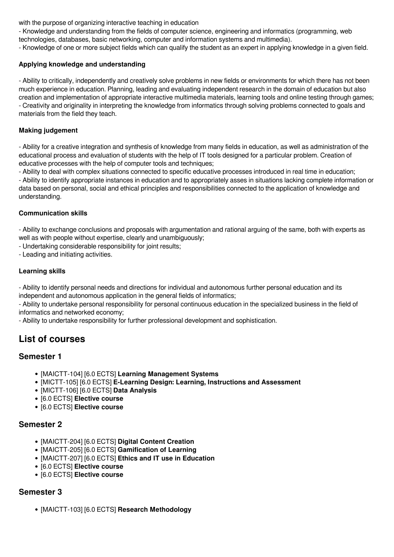with the purpose of organizing interactive teaching in education

- Knowledge and understanding from the fields of computer science, engineering and informatics (programming, web technologies, databases, basic networking, computer and information systems and multimedia).

- Knowledge of one or more subject fields which can qualify the student as an expert in applying knowledge in a given field.

## **Applying knowledge and understanding**

- Ability to critically, independently and creatively solve problems in new fields or environments for which there has not been much experience in education. Planning, leading and evaluating independent research in the domain of education but also creation and implementation of appropriate interactive multimedia materials, learning tools and online testing through games; - Creativity and originality in interpreting the knowledge from informatics through solving problems connected to goals and materials from the field they teach.

## **Making judgement**

- Ability for a creative integration and synthesis of knowledge from many fields in education, as well as administration of the educational process and evaluation of students with the help of IT tools designed for a particular problem. Creation of educative processes with the help of computer tools and techniques;

- Ability to deal with complex situations connected to specific educative processes introduced in real time in education;

- Ability to identify appropriate instances in education and to appropriately asses in situations lacking complete information or data based on personal, social and ethical principles and responsibilities connected to the application of knowledge and understanding.

## **Communication skills**

- Ability to exchange conclusions and proposals with argumentation and rational arguing of the same, both with experts as well as with people without expertise, clearly and unambiguously:

- Undertaking considerable responsibility for joint results;
- Leading and initiating activities.

## **Learning skills**

- Ability to identify personal needs and directions for individual and autonomous further personal education and its independent and autonomous application in the general fields of informatics;

- Ability to undertake personal responsibility for personal continuous education in the specialized business in the field of informatics and networked economy;

- Ability to undertake responsibility for further professional development and sophistication.

## **List of courses**

## **Semester 1**

- [MAICTT-104] [6.0 ECTS] **Learning Management Systems**
- [MICTT-105] [6.0 ECTS] **E-Learning Design: Learning, Instructions and Assessment**
- [MICTT-106] [6.0 ECTS] **Data Analysis**
- [6.0 ECTS] **Elective course**
- [6.0 ECTS] **Elective course**

## **Semester 2**

- [MAICTT-204] [6.0 ECTS] **Digital Content Creation**
- [MAICTT-205] [6.0 ECTS] **Gamification of Learning**
- [MAICTT-207] [6.0 ECTS] **Ethics and IT use in Education**
- [6.0 ECTS] **Elective course**
- [6.0 ECTS] **Elective course**

## **Semester 3**

[MAICTT-103] [6.0 ECTS] **Research Methodology**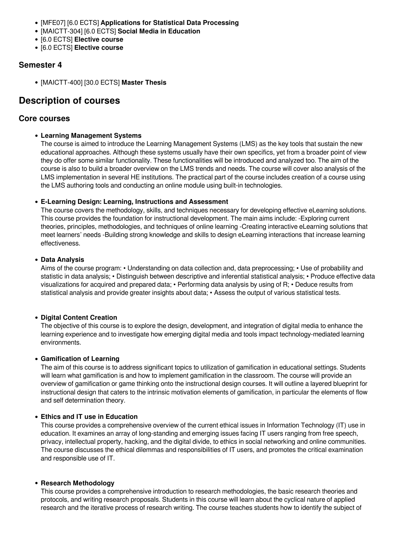- [MFE07] [6.0 ECTS] **Applications for Statistical Data Processing**
- [MAICTT-304] [6.0 ECTS] **Social Media in Education**
- [6.0 ECTS] **Elective course**
- [6.0 ECTS] **Elective course**

## **Semester 4**

[MAICTT-400] [30.0 ECTS] **Master Thesis**

## **Description of courses**

## **Core courses**

#### **Learning Management Systems**

The course is aimed to introduce the Learning Management Systems (LMS) as the key tools that sustain the new educational approaches. Although these systems usually have their own specifics, yet from a broader point of view they do offer some similar functionality. These functionalities will be introduced and analyzed too. The aim of the course is also to build a broader overview on the LMS trends and needs. The course will cover also analysis of the LMS implementation in several HE institutions. The practical part of the course includes creation of a course using the LMS authoring tools and conducting an online module using built-in technologies.

#### **E-Learning Design: Learning, Instructions and Assessment**

The course covers the methodology, skills, and techniques necessary for developing effective eLearning solutions. This course provides the foundation for instructional development. The main aims include: -Exploring current theories, principles, methodologies, and techniques of online learning -Creating interactive eLearning solutions that meet learners' needs -Building strong knowledge and skills to design eLearning interactions that increase learning effectiveness.

#### **Data Analysis**

Aims of the course program: • Understanding on data collection and, data preprocessing; • Use of probability and statistic in data analysis; • Distinguish between descriptive and inferential statistical analysis; • Produce effective data visualizations for acquired and prepared data; • Performing data analysis by using of R; • Deduce results from statistical analysis and provide greater insights about data; • Assess the output of various statistical tests.

#### **Digital Content Creation**

The objective of this course is to explore the design, development, and integration of digital media to enhance the learning experience and to investigate how emerging digital media and tools impact technology-mediated learning environments.

#### **Gamification of Learning**

The aim of this course is to address significant topics to utilization of gamification in educational settings. Students will learn what gamification is and how to implement gamification in the classroom. The course will provide an overview of gamification or game thinking onto the instructional design courses. It will outline a layered blueprint for instructional design that caters to the intrinsic motivation elements of gamification, in particular the elements of flow and self determination theory.

#### **Ethics and IT use in Education**

This course provides a comprehensive overview of the current ethical issues in Information Technology (IT) use in education. It examines an array of long-standing and emerging issues facing IT users ranging from free speech, privacy, intellectual property, hacking, and the digital divide, to ethics in social networking and online communities. The course discusses the ethical dilemmas and responsibilities of IT users, and promotes the critical examination and responsible use of IT.

#### **Research Methodology**

This course provides a comprehensive introduction to research methodologies, the basic research theories and protocols, and writing research proposals. Students in this course will learn about the cyclical nature of applied research and the iterative process of research writing. The course teaches students how to identify the subject of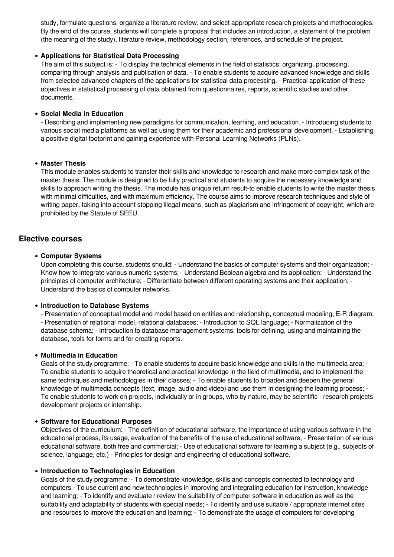study, formulate questions, organize a literature review, and select appropriate research projects and methodologies. By the end of the course, students will complete a proposal that includes an introduction, a statement of the problem (the meaning of the study), literature review, methodology section, references, and schedule of the project.

#### **Applications for Statistical Data Processing**

The aim of this subject is: - To display the technical elements in the field of statistics: organizing, processing, comparing through analysis and publication of data. - To enable students to acquire advanced knowledge and skills from selected advanced chapters of the applications for statistical data processing. - Practical application of these objectives in statistical processing of data obtained from questionnaires, reports, scientific studies and other documents.

#### **Social Media in Education**

- Describing and implementing new paradigms for communication, learning, and education. - Introducing students to various social media platforms as well as using them for their academic and professional development. - Establishing a positive digital footprint and gaining experience with Personal Learning Networks (PLNs).

#### **Master Thesis**

This module enables students to transfer their skills and knowledge to research and make more complex task of the master thesis. The module is designed to be fully practical and students to acquire the necessary knowledge and skills to approach writing the thesis. The module has unique return result-to enable students to write the master thesis with minimal difficulties, and with maximum efficiency. The course aims to improve research techniques and style of writing paper, taking into account stopping illegal means, such as plagiarism and infringement of copyright, which are prohibited by the Statute of SEEU.

## **Elective courses**

#### **Computer Systems**

Upon completing this course, students should: - Understand the basics of computer systems and their organization; - Know how to integrate various numeric systems; - Understand Boolean algebra and its application; - Understand the principles of computer architecture; - Differentiate between different operating systems and their application; - Understand the basics of computer networks.

#### **Introduction to Database Systems**

- Presentation of conceptual model and model based on entities and relationship, conceptual modeling, E-R diagram; - Presentation of relational model, relational databases; - Introduction to SQL language; - Normalization of the database schema; - Introduction to database management systems, tools for defining, using and maintaining the database, tools for forms and for creating reports.

#### **Multimedia in Education**

Goals of the study programme: - To enable students to acquire basic knowledge and skills in the multimedia area; - To enable students to acquire theoretical and practical knowledge in the field of multimedia, and to implement the same techniques and methodologies in their classes; - To enable students to broaden and deepen the general knowledge of multimedia concepts (text, image, audio and video) and use them in designing the learning process; - To enable students to work on projects, individually or in groups, who by nature, may be scientific - research projects development projects or internship.

#### **Software for Educational Purposes**

Objectives of the curriculum: - The definition of educational software, the importance of using various software in the educational process, its usage, evaluation of the benefits of the use of educational software; - Presentation of various educational software, both free and commercial; - Use of educational software for learning a subject (e.g., subjects of science, language, etc.) - Principles for design and engineering of educational software.

#### **Introduction to Technologies in Education**

Goals of the study programme: - To demonstrate knowledge, skills and concepts connected to technology and computers - To use current and new technologies in improving and integrating education for instruction, knowledge and learning; - To identify and evaluate / review the suitability of computer software in education as well as the suitability and adaptability of students with special needs; - To identify and use suitable / appropriate internet sites and resources to improve the education and learning; - To demonstrate the usage of computers for developing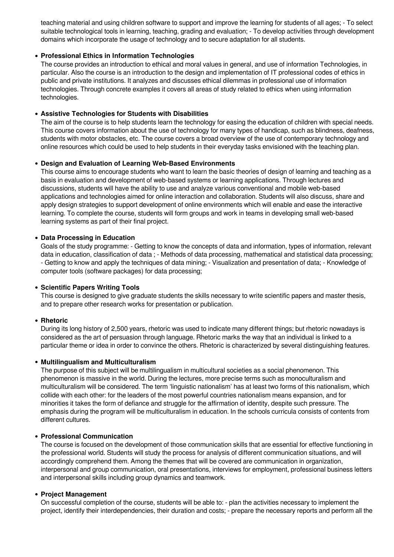teaching material and using children software to support and improve the learning for students of all ages; - To select suitable technological tools in learning, teaching, grading and evaluation; - To develop activities through development domains which incorporate the usage of technology and to secure adaptation for all students.

#### **Professional Ethics in Information Technologies**

The course provides an introduction to ethical and moral values in general, and use of information Technologies, in particular. Also the course is an introduction to the design and implementation of IT professional codes of ethics in public and private institutions. It analyzes and discusses ethical dilemmas in professional use of information technologies. Through concrete examples it covers all areas of study related to ethics when using information technologies.

#### **Assistive Technologies for Students with Disabilities**

The aim of the course is to help students learn the technology for easing the education of children with special needs. This course covers information about the use of technology for many types of handicap, such as blindness, deafness, students with motor obstacles, etc. The course covers a broad overview of the use of contemporary technology and online resources which could be used to help students in their everyday tasks envisioned with the teaching plan.

#### **Design and Evaluation of Learning Web-Based Environments**

This course aims to encourage students who want to learn the basic theories of design of learning and teaching as a basis in evaluation and development of web-based systems or learning applications. Through lectures and discussions, students will have the ability to use and analyze various conventional and mobile web-based applications and technologies aimed for online interaction and collaboration. Students will also discuss, share and apply design strategies to support development of online environments which will enable and ease the interactive learning. To complete the course, students will form groups and work in teams in developing small web-based learning systems as part of their final project.

#### **Data Processing in Education**

Goals of the study programme: - Getting to know the concepts of data and information, types of information, relevant data in education, classification of data ; - Methods of data processing, mathematical and statistical data processing; - Getting to know and apply the techniques of data mining; - Visualization and presentation of data; - Knowledge of computer tools (software packages) for data processing;

#### **Scientific Papers Writing Tools**

This course is designed to give graduate students the skills necessary to write scientific papers and master thesis, and to prepare other research works for presentation or publication.

#### **Rhetoric**

During its long history of 2,500 years, rhetoric was used to indicate many different things; but rhetoric nowadays is considered as the art of persuasion through language. Rhetoric marks the way that an individual is linked to a particular theme or idea in order to convince the others. Rhetoric is characterized by several distinguishing features.

#### **Multilingualism and Multiculturalism**

The purpose of this subject will be multilingualism in multicultural societies as a social phenomenon. This phenomenon is massive in the world. During the lectures, more precise terms such as monoculturalism and multiculturalism will be considered. The term 'linguistic nationalism' has at least two forms of this nationalism, which collide with each other: for the leaders of the most powerful countries nationalism means expansion, and for minorities it takes the form of defiance and struggle for the affirmation of identity, despite such pressure. The emphasis during the program will be multiculturalism in education. In the schools curricula consists of contents from different cultures.

#### **Professional Communication**

The course is focused on the development of those communication skills that are essential for effective functioning in the professional world. Students will study the process for analysis of different communication situations, and will accordingly comprehend them. Among the themes that will be covered are communication in organization, interpersonal and group communication, oral presentations, interviews for employment, professional business letters and interpersonal skills including group dynamics and teamwork.

#### **Project Management**

On successful completion of the course, students will be able to: - plan the activities necessary to implement the project, identify their interdependencies, their duration and costs; - prepare the necessary reports and perform all the